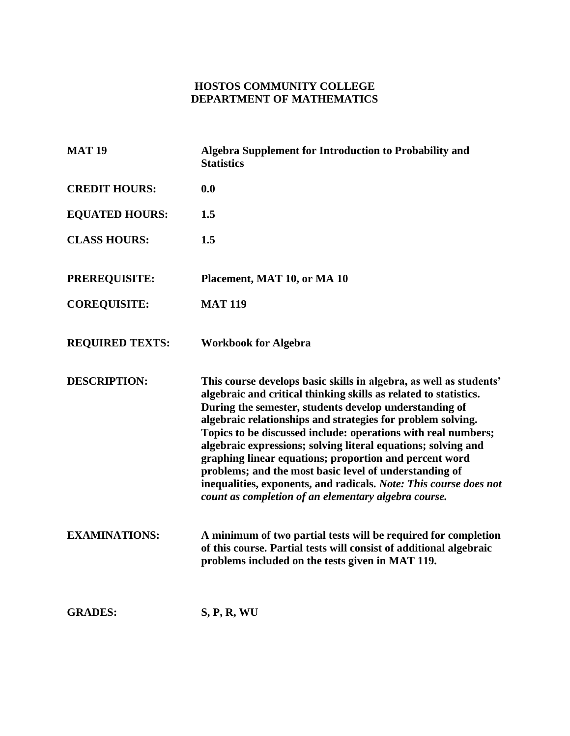# **HOSTOS COMMUNITY COLLEGE DEPARTMENT OF MATHEMATICS**

| <b>MAT 19</b>          | Algebra Supplement for Introduction to Probability and<br><b>Statistics</b>                                                                                                                                                                                                                                                                                                                                                                                                                                                                                                                                                                        |
|------------------------|----------------------------------------------------------------------------------------------------------------------------------------------------------------------------------------------------------------------------------------------------------------------------------------------------------------------------------------------------------------------------------------------------------------------------------------------------------------------------------------------------------------------------------------------------------------------------------------------------------------------------------------------------|
| <b>CREDIT HOURS:</b>   | 0.0                                                                                                                                                                                                                                                                                                                                                                                                                                                                                                                                                                                                                                                |
| <b>EQUATED HOURS:</b>  | 1.5                                                                                                                                                                                                                                                                                                                                                                                                                                                                                                                                                                                                                                                |
| <b>CLASS HOURS:</b>    | 1.5                                                                                                                                                                                                                                                                                                                                                                                                                                                                                                                                                                                                                                                |
| <b>PREREQUISITE:</b>   | Placement, MAT 10, or MA 10                                                                                                                                                                                                                                                                                                                                                                                                                                                                                                                                                                                                                        |
| <b>COREQUISITE:</b>    | <b>MAT 119</b>                                                                                                                                                                                                                                                                                                                                                                                                                                                                                                                                                                                                                                     |
| <b>REQUIRED TEXTS:</b> | <b>Workbook for Algebra</b>                                                                                                                                                                                                                                                                                                                                                                                                                                                                                                                                                                                                                        |
| <b>DESCRIPTION:</b>    | This course develops basic skills in algebra, as well as students'<br>algebraic and critical thinking skills as related to statistics.<br>During the semester, students develop understanding of<br>algebraic relationships and strategies for problem solving.<br>Topics to be discussed include: operations with real numbers;<br>algebraic expressions; solving literal equations; solving and<br>graphing linear equations; proportion and percent word<br>problems; and the most basic level of understanding of<br>inequalities, exponents, and radicals. Note: This course does not<br>count as completion of an elementary algebra course. |
| <b>EXAMINATIONS:</b>   | A minimum of two partial tests will be required for completion<br>of this course. Partial tests will consist of additional algebraic<br>problems included on the tests given in MAT 119.                                                                                                                                                                                                                                                                                                                                                                                                                                                           |
| <b>GRADES:</b>         | S, P, R, WU                                                                                                                                                                                                                                                                                                                                                                                                                                                                                                                                                                                                                                        |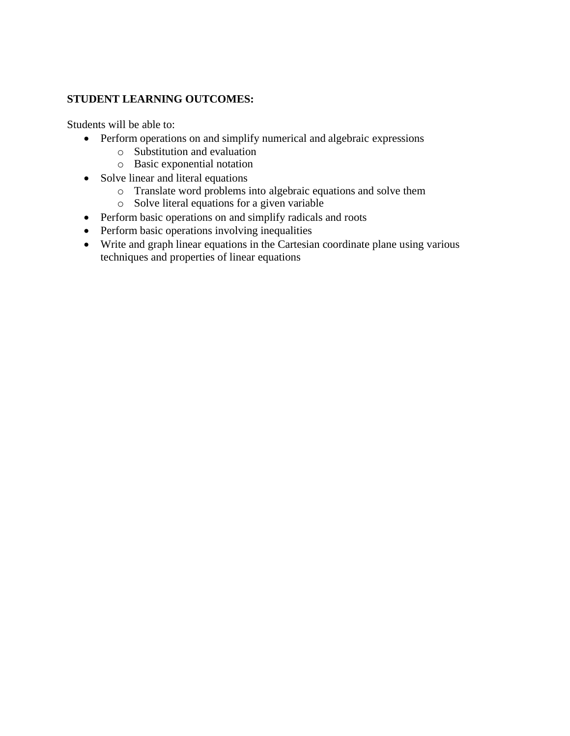## **STUDENT LEARNING OUTCOMES:**

Students will be able to:

- Perform operations on and simplify numerical and algebraic expressions
	- o Substitution and evaluation
	- o Basic exponential notation
- Solve linear and literal equations
	- o Translate word problems into algebraic equations and solve them
	- o Solve literal equations for a given variable
- Perform basic operations on and simplify radicals and roots
- Perform basic operations involving inequalities
- Write and graph linear equations in the Cartesian coordinate plane using various techniques and properties of linear equations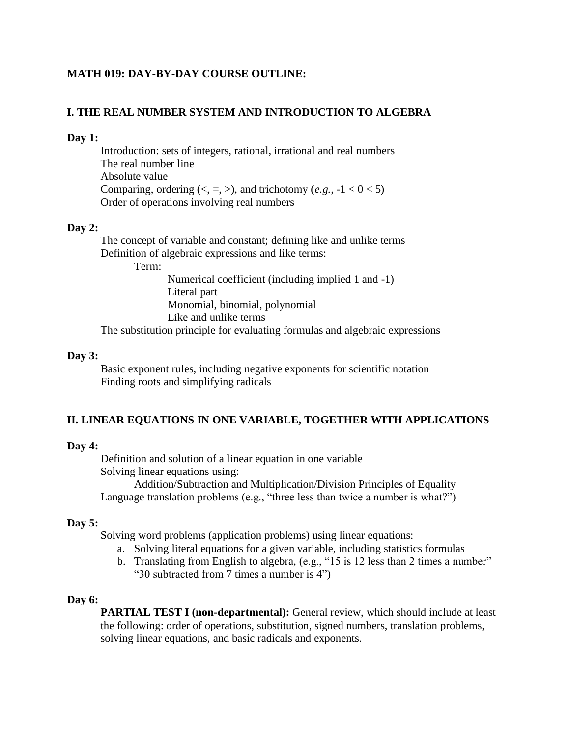## **MATH 019: DAY-BY-DAY COURSE OUTLINE:**

## **I. THE REAL NUMBER SYSTEM AND INTRODUCTION TO ALGEBRA**

## **Day 1:**

Introduction: sets of integers, rational, irrational and real numbers The real number line Absolute value Comparing, ordering  $(<, =, >)$ , and trichotomy  $(e.g., -1 < 0 < 5)$ Order of operations involving real numbers

## **Day 2:**

The concept of variable and constant; defining like and unlike terms Definition of algebraic expressions and like terms:

Term:

Numerical coefficient (including implied 1 and -1) Literal part Monomial, binomial, polynomial Like and unlike terms

The substitution principle for evaluating formulas and algebraic expressions

#### **Day 3:**

Basic exponent rules, including negative exponents for scientific notation Finding roots and simplifying radicals

## **II. LINEAR EQUATIONS IN ONE VARIABLE, TOGETHER WITH APPLICATIONS**

#### **Day 4:**

Definition and solution of a linear equation in one variable Solving linear equations using:

Addition/Subtraction and Multiplication/Division Principles of Equality Language translation problems (e.g., "three less than twice a number is what?")

## **Day 5:**

Solving word problems (application problems) using linear equations:

- a. Solving literal equations for a given variable, including statistics formulas
- b. Translating from English to algebra, (e.g., "15 is 12 less than 2 times a number" "30 subtracted from 7 times a number is 4")

## **Day 6:**

**PARTIAL TEST I (non-departmental):** General review, which should include at least the following: order of operations, substitution, signed numbers, translation problems, solving linear equations, and basic radicals and exponents.